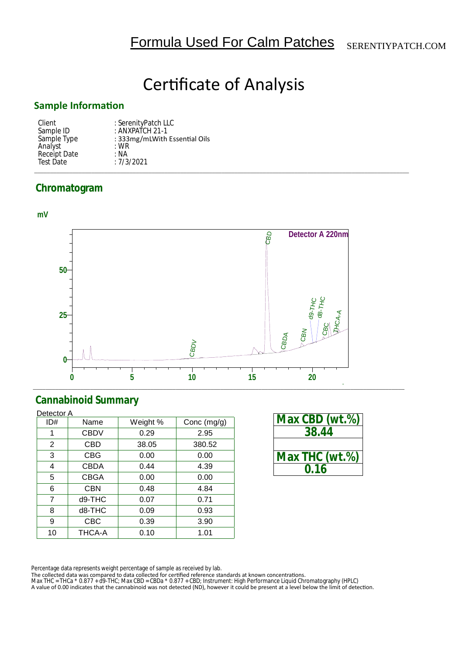# **Certificate of Analysis**

### **Sample InformaƟon**

| Client       | : SerenityPatch LLC           |
|--------------|-------------------------------|
| Sample ID    | : ANXPATCH 21-1               |
| Sample Type  | : 333mg/mLWith Essential Oils |
| Analyst      | $:$ WR                        |
| Receipt Date | : NA                          |
| Test Date    | :7/3/2021                     |
|              |                               |

## **Chromatogram**



## **Cannabinoid Summary**

| Detector A     |             |          |               |  |
|----------------|-------------|----------|---------------|--|
| ID#            | Name        | Weight % | Conc $(mg/g)$ |  |
| 1              | <b>CBDV</b> | 0.29     | 2.95          |  |
| 2              | CBD         | 38.05    | 380.52        |  |
| 3              | <b>CBG</b>  | 0.00     | 0.00          |  |
| 4              | <b>CBDA</b> | 0.44     | 4.39          |  |
| 5              | <b>CBGA</b> | 0.00     | 0.00          |  |
| 6              | <b>CBN</b>  | 0.48     | 4.84          |  |
| $\overline{7}$ | d9-THC      | 0.07     | 0.71          |  |
| 8              | d8-THC      | 0.09     | 0.93          |  |
| 9              | CBC         | 0.39     | 3.90          |  |
| 10             | THCA-A      | 0.10     | 1.01          |  |

| Max CBD (wt.%) |  |  |
|----------------|--|--|
| 38.44          |  |  |
|                |  |  |
| Max THC (wt.%) |  |  |
| በ 16           |  |  |

Percentage data represents weight percentage of sample as received by lab.

The collected data was compared to data collected for certified reference standards at known concentrations.<br>Max THC = THCa \* 0.877 + d9-THC; Max CBD = CBDa \* 0.877 + CBD; Instrument: High Performance Liquid Chromatography A value of 0.00 indicates that the cannabinoid was not detected (ND), however it could be present at a level below the limit of detection.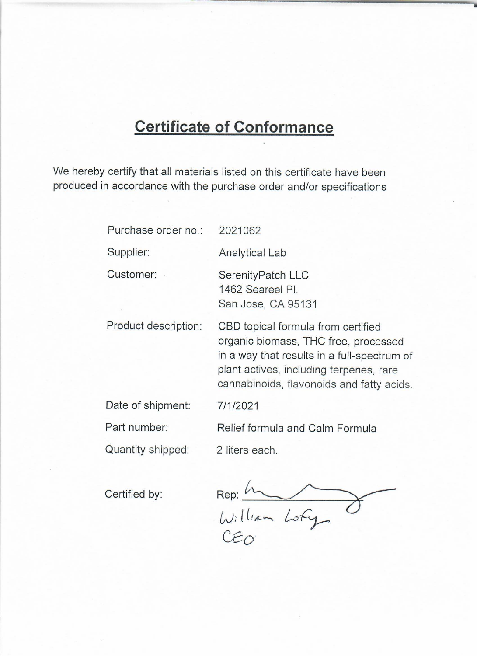# **Certificate of Conformance**

We hereby certify that all materials listed on this certificate have been produced in accordance with the purchase order and/or specifications

| Purchase order no.:  | 2021062                                                                                                                                                                                                           |
|----------------------|-------------------------------------------------------------------------------------------------------------------------------------------------------------------------------------------------------------------|
| Supplier:            | <b>Analytical Lab</b>                                                                                                                                                                                             |
| Customer:            | SerenityPatch LLC<br>1462 Seareel Pl.<br>San Jose, CA 95131                                                                                                                                                       |
| Product description: | CBD topical formula from certified<br>organic biomass, THC free, processed<br>in a way that results in a full-spectrum of<br>plant actives, including terpenes, rare<br>cannabinoids, flavonoids and fatty acids. |
| Date of shipment:    | 7/1/2021                                                                                                                                                                                                          |
| Part number:         | Relief formula and Calm Formula                                                                                                                                                                                   |
| Quantity shipped:    | 2 liters each.                                                                                                                                                                                                    |

Certified by:

Rep: In<br>William Lofy